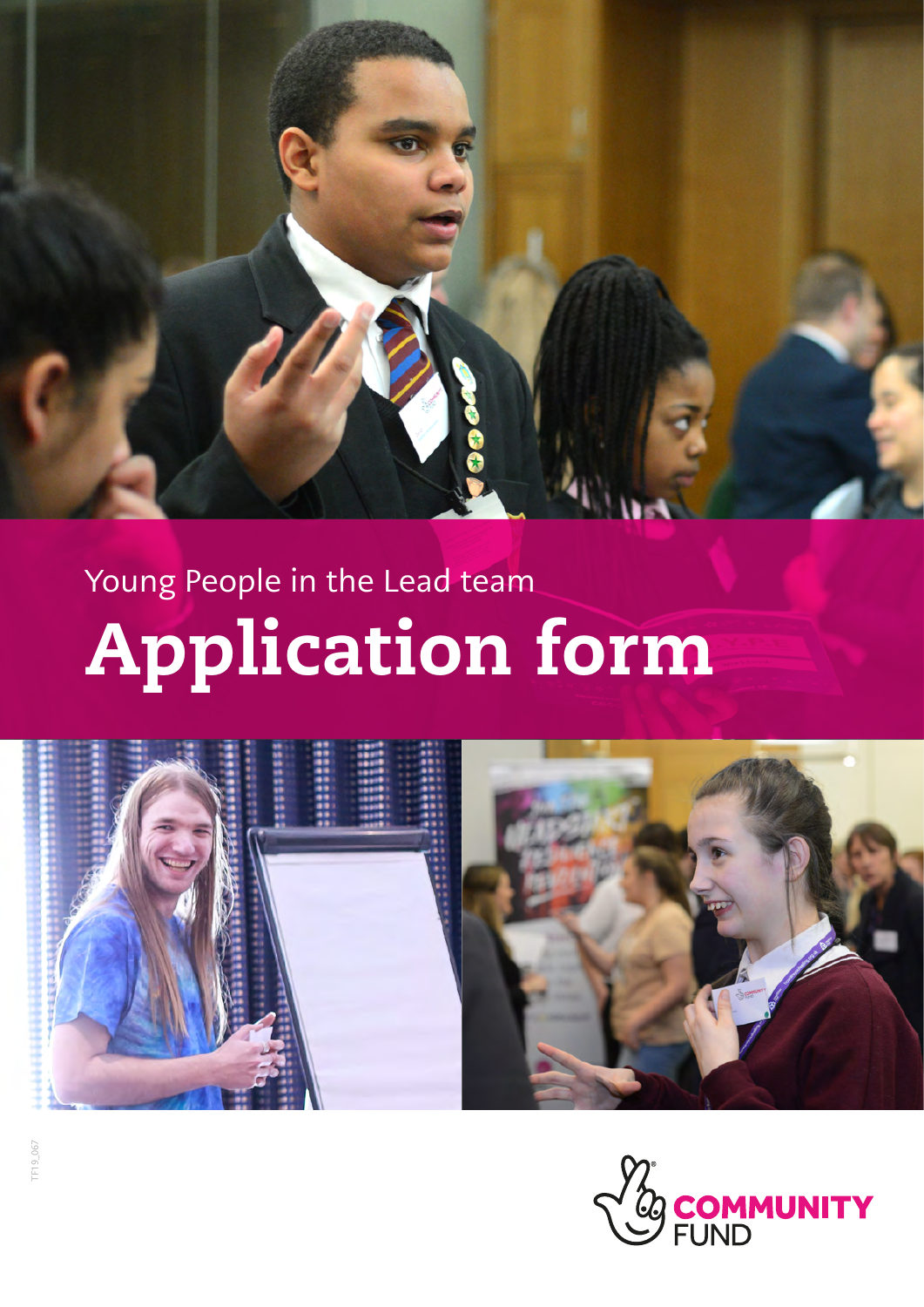

# Young People in the Lead team Application form



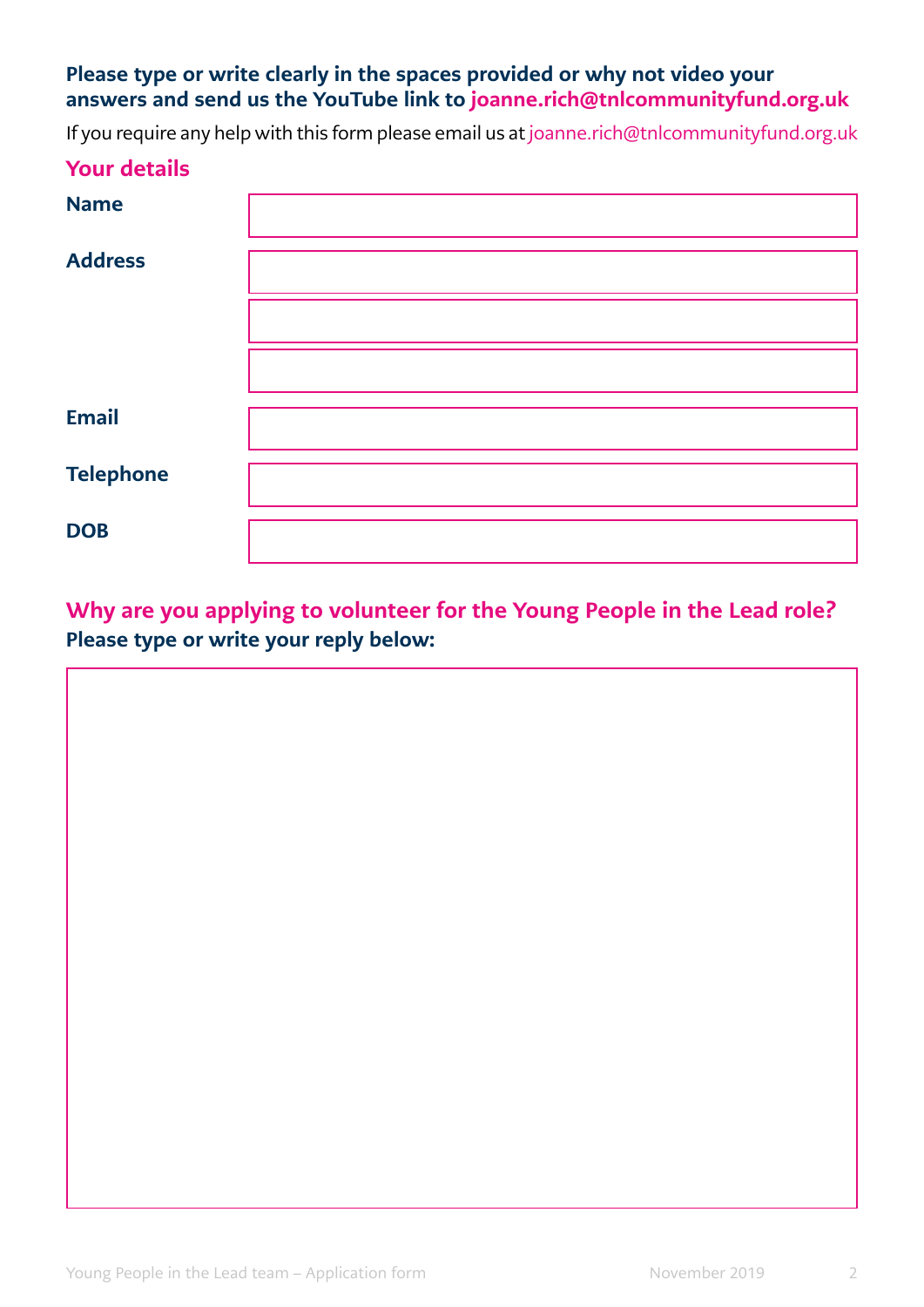## Please type or write clearly in the spaces provided or why not video your answers and send us the YouTube link to [joanne.rich@tnlcommunityfund.org.uk](mailto:joanne.rich@tnlcommunityfund.org.uk)

If you require any help with this form please email us at [joanne.rich@tnlcommunityfund.org.uk](mailto:joanne.rich@tnlcommunityfund.org.uk)

#### Your details

| <b>Name</b>      |  |
|------------------|--|
| <b>Address</b>   |  |
|                  |  |
|                  |  |
| <b>Email</b>     |  |
| <b>Telephone</b> |  |
| <b>DOB</b>       |  |

Why are you applying to volunteer for the Young People in the Lead role? Please type or write your reply below:

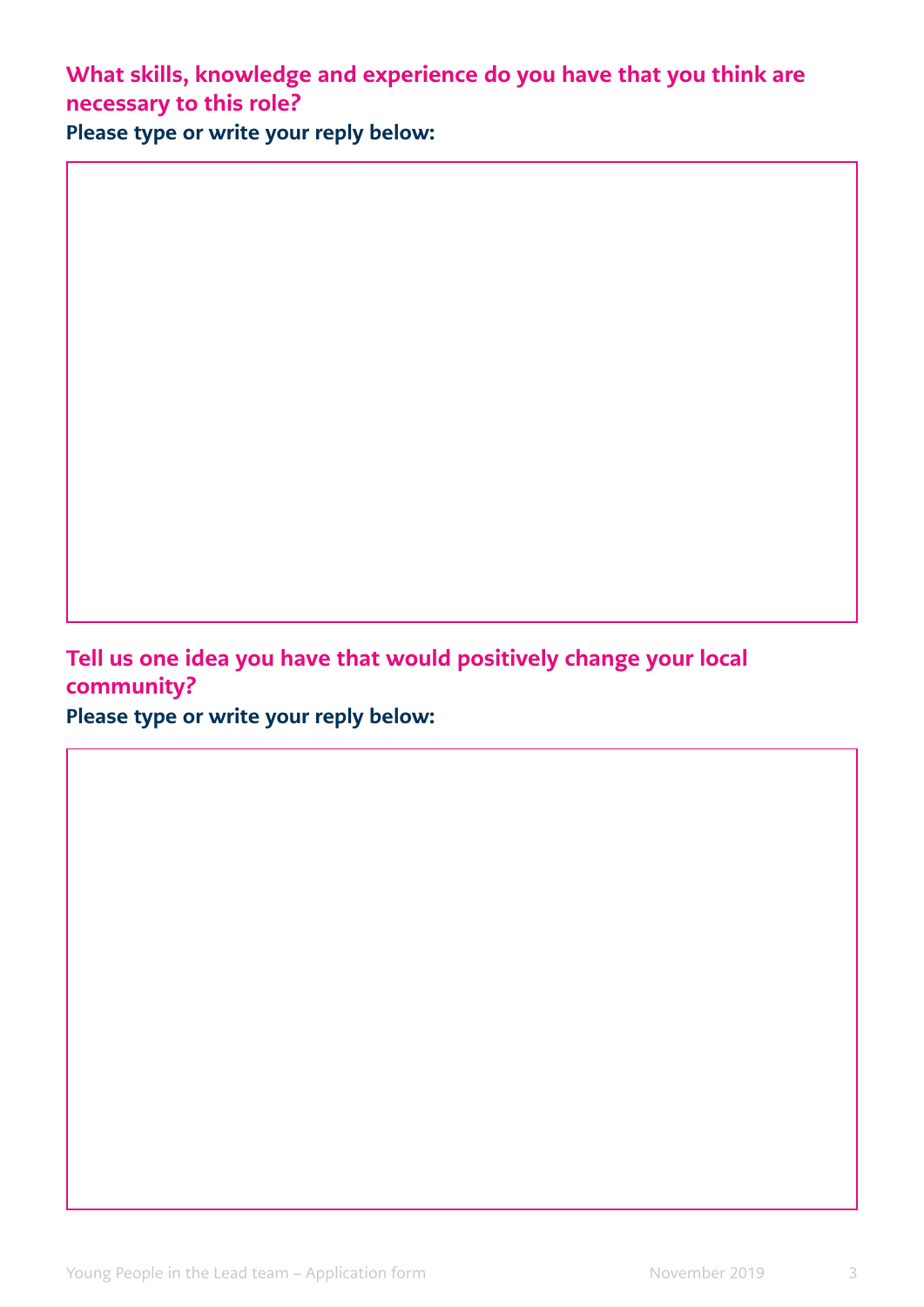What skills, knowledge and experience do you have that you think are necessary to this role? Please type or write your reply below:

Tell us one idea you have that would positively change your local community?

Please type or write your reply below: